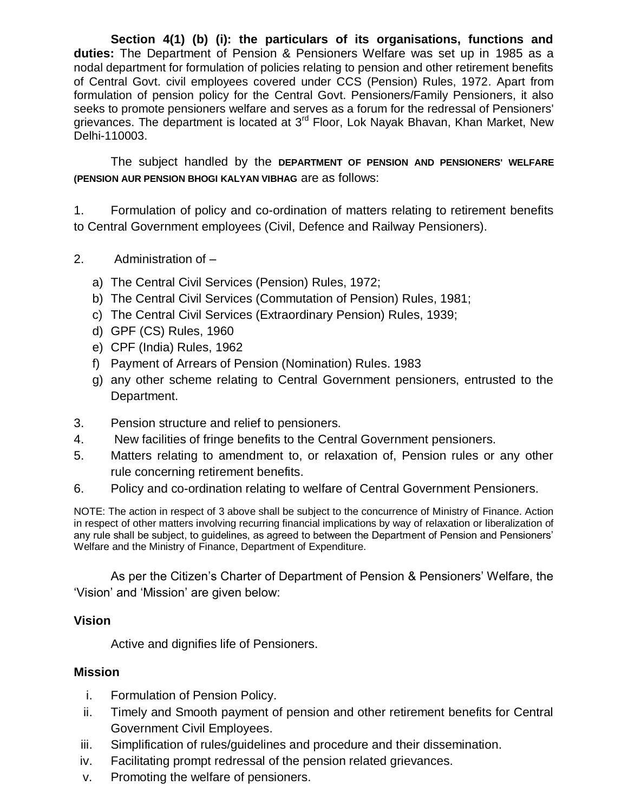**Section 4(1) (b) (i): the particulars of its organisations, functions and duties:** The Department of Pension & Pensioners Welfare was set up in 1985 as a nodal department for formulation of policies relating to pension and other retirement benefits of Central Govt. civil employees covered under CCS (Pension) Rules, 1972. Apart from formulation of pension policy for the Central Govt. Pensioners/Family Pensioners, it also seeks to promote pensioners welfare and serves as a forum for the redressal of Pensioners' grievances. The department is located at 3rd Floor, Lok Nayak Bhavan, Khan Market, New Delhi-110003.

The subject handled by the **DEPARTMENT OF PENSION AND PENSIONERS' WELFARE (PENSION AUR PENSION BHOGI KALYAN VIBHAG** are as follows:

1. Formulation of policy and co-ordination of matters relating to retirement benefits to Central Government employees (Civil, Defence and Railway Pensioners).

- 2. Administration of
	- a) The Central Civil Services (Pension) Rules, 1972;
	- b) The Central Civil Services (Commutation of Pension) Rules, 1981;
	- c) The Central Civil Services (Extraordinary Pension) Rules, 1939;
	- d) GPF (CS) Rules, 1960
	- e) CPF (India) Rules, 1962
	- f) Payment of Arrears of Pension (Nomination) Rules. 1983
	- g) any other scheme relating to Central Government pensioners, entrusted to the Department.
- 3. Pension structure and relief to pensioners.
- 4. New facilities of fringe benefits to the Central Government pensioners.
- 5. Matters relating to amendment to, or relaxation of, Pension rules or any other rule concerning retirement benefits.
- 6. Policy and co-ordination relating to welfare of Central Government Pensioners.

NOTE: The action in respect of 3 above shall be subject to the concurrence of Ministry of Finance. Action in respect of other matters involving recurring financial implications by way of relaxation or liberalization of any rule shall be subject, to guidelines, as agreed to between the Department of Pension and Pensioners' Welfare and the Ministry of Finance, Department of Expenditure.

As per the Citizen's Charter of Department of Pension & Pensioners' Welfare, the 'Vision' and 'Mission' are given below:

## **Vision**

Active and dignifies life of Pensioners.

## **Mission**

- i. Formulation of Pension Policy.
- ii. Timely and Smooth payment of pension and other retirement benefits for Central Government Civil Employees.
- iii. Simplification of rules/guidelines and procedure and their dissemination.
- iv. Facilitating prompt redressal of the pension related grievances.
- v. Promoting the welfare of pensioners.